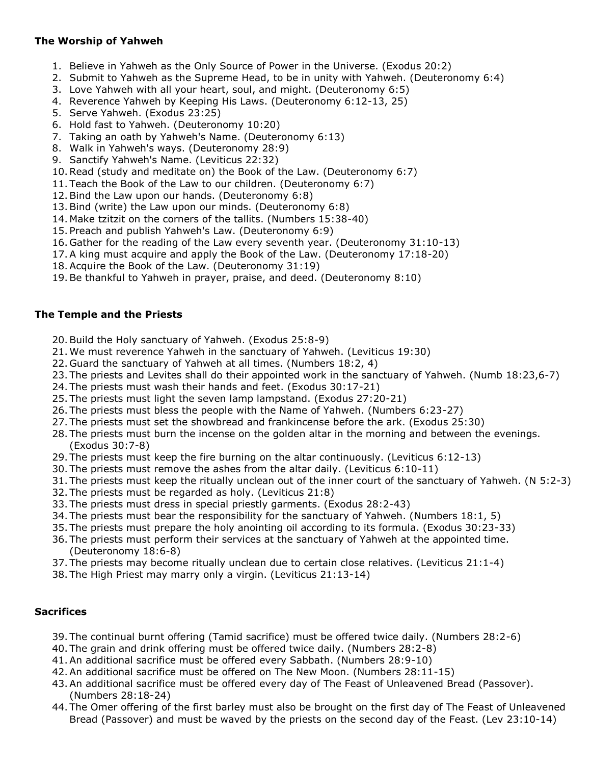## **The Worship of Yahweh**

- 1. Believe in Yahweh as the Only Source of Power in the Universe. (Exodus 20:2)
- 2. Submit to Yahweh as the Supreme Head, to be in unity with Yahweh. (Deuteronomy 6:4)
- 3. Love Yahweh with all your heart, soul, and might. (Deuteronomy 6:5)
- 4. Reverence Yahweh by Keeping His Laws. (Deuteronomy 6:12-13, 25)
- 5. Serve Yahweh. (Exodus 23:25)
- 6. Hold fast to Yahweh. (Deuteronomy 10:20)
- 7. Taking an oath by Yahweh's Name. (Deuteronomy 6:13)
- 8. Walk in Yahweh's ways. (Deuteronomy 28:9)
- 9. Sanctify Yahweh's Name. (Leviticus 22:32)
- 10.Read (study and meditate on) the Book of the Law. (Deuteronomy 6:7)
- 11. Teach the Book of the Law to our children. (Deuteronomy 6:7)
- 12.Bind the Law upon our hands. (Deuteronomy 6:8)
- 13.Bind (write) the Law upon our minds. (Deuteronomy 6:8)
- 14. Make tzitzit on the corners of the tallits. (Numbers 15:38-40)
- 15. Preach and publish Yahweh's Law. (Deuteronomy 6:9)
- 16. Gather for the reading of the Law every seventh year. (Deuteronomy 31:10-13)
- 17.A king must acquire and apply the Book of the Law. (Deuteronomy 17:18-20)
- 18.Acquire the Book of the Law. (Deuteronomy 31:19)
- 19.Be thankful to Yahweh in prayer, praise, and deed. (Deuteronomy 8:10)

#### **The Temple and the Priests**

- 20.Build the Holy sanctuary of Yahweh. (Exodus 25:8-9)
- 21. We must reverence Yahweh in the sanctuary of Yahweh. (Leviticus 19:30)
- 22. Guard the sanctuary of Yahweh at all times. (Numbers 18:2, 4)
- 23. The priests and Levites shall do their appointed work in the sanctuary of Yahweh. (Numb 18:23,6-7)
- 24. The priests must wash their hands and feet. (Exodus 30:17-21)
- 25. The priests must light the seven lamp lampstand. (Exodus 27:20-21)
- 26. The priests must bless the people with the Name of Yahweh. (Numbers 6:23-27)
- 27. The priests must set the showbread and frankincense before the ark. (Exodus 25:30)
- 28. The priests must burn the incense on the golden altar in the morning and between the evenings. (Exodus 30:7-8)
- 29. The priests must keep the fire burning on the altar continuously. (Leviticus 6:12-13)
- 30. The priests must remove the ashes from the altar daily. (Leviticus 6:10-11)
- 31. The priests must keep the ritually unclean out of the inner court of the sanctuary of Yahweh. (N 5:2-3)
- 32. The priests must be regarded as holy. (Leviticus 21:8)
- 33. The priests must dress in special priestly garments. (Exodus 28:2-43)
- 34. The priests must bear the responsibility for the sanctuary of Yahweh. (Numbers 18:1, 5)
- 35. The priests must prepare the holy anointing oil according to its formula. (Exodus 30:23-33)
- 36. The priests must perform their services at the sanctuary of Yahweh at the appointed time. (Deuteronomy 18:6-8)
- 37. The priests may become ritually unclean due to certain close relatives. (Leviticus 21:1-4)
- 38. The High Priest may marry only a virgin. (Leviticus 21:13-14)

## **Sacrifices**

- 39. The continual burnt offering (Tamid sacrifice) must be offered twice daily. (Numbers 28:2-6)
- 40. The grain and drink offering must be offered twice daily. (Numbers 28:2-8)
- 41.An additional sacrifice must be offered every Sabbath. (Numbers 28:9-10)
- 42.An additional sacrifice must be offered on The New Moon. (Numbers 28:11-15)
- 43.An additional sacrifice must be offered every day of The Feast of Unleavened Bread (Passover). (Numbers 28:18-24)
- 44. The Omer offering of the first barley must also be brought on the first day of The Feast of Unleavened Bread (Passover) and must be waved by the priests on the second day of the Feast. (Lev 23:10-14)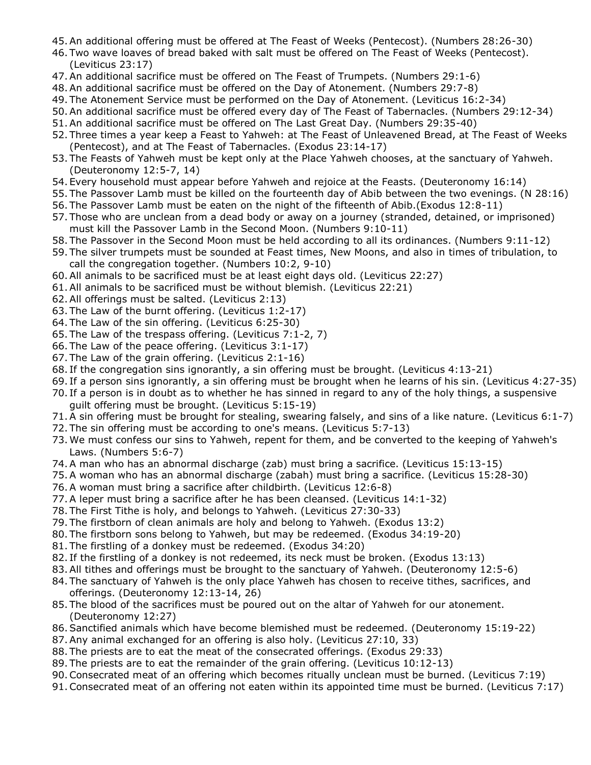- 45.An additional offering must be offered at The Feast of Weeks (Pentecost). (Numbers 28:26-30)
- 46. Two wave loaves of bread baked with salt must be offered on The Feast of Weeks (Pentecost). (Leviticus 23:17)
- 47.An additional sacrifice must be offered on The Feast of Trumpets. (Numbers 29:1-6)
- 48.An additional sacrifice must be offered on the Day of Atonement. (Numbers 29:7-8)
- 49. The Atonement Service must be performed on the Day of Atonement. (Leviticus 16:2-34)
- 50.An additional sacrifice must be offered every day of The Feast of Tabernacles. (Numbers 29:12-34)
- 51.An additional sacrifice must be offered on The Last Great Day. (Numbers 29:35-40)
- 52. Three times a year keep a Feast to Yahweh: at The Feast of Unleavened Bread, at The Feast of Weeks (Pentecost), and at The Feast of Tabernacles. (Exodus 23:14-17)
- 53. The Feasts of Yahweh must be kept only at the Place Yahweh chooses, at the sanctuary of Yahweh. (Deuteronomy 12:5-7, 14)
- 54. Every household must appear before Yahweh and rejoice at the Feasts. (Deuteronomy 16:14)
- 55. The Passover Lamb must be killed on the fourteenth day of Abib between the two evenings. (N 28:16)
- 56. The Passover Lamb must be eaten on the night of the fifteenth of Abib.(Exodus 12:8-11)
- 57. Those who are unclean from a dead body or away on a journey (stranded, detained, or imprisoned) must kill the Passover Lamb in the Second Moon. (Numbers 9:10-11)
- 58. The Passover in the Second Moon must be held according to all its ordinances. (Numbers 9:11-12)
- 59. The silver trumpets must be sounded at Feast times, New Moons, and also in times of tribulation, to call the congregation together. (Numbers 10:2, 9-10)
- 60.All animals to be sacrificed must be at least eight days old. (Leviticus 22:27)
- 61.All animals to be sacrificed must be without blemish. (Leviticus 22:21)
- 62.All offerings must be salted. (Leviticus 2:13)
- 63. The Law of the burnt offering. (Leviticus 1:2-17)
- 64. The Law of the sin offering. (Leviticus 6:25-30)
- 65. The Law of the trespass offering. (Leviticus 7:1-2, 7)
- 66. The Law of the peace offering. (Leviticus 3:1-17)
- 67. The Law of the grain offering. (Leviticus 2:1-16)
- 68. If the congregation sins ignorantly, a sin offering must be brought. (Leviticus 4:13-21)
- 69. If a person sins ignorantly, a sin offering must be brought when he learns of his sin. (Leviticus 4:27-35)
- 70. If a person is in doubt as to whether he has sinned in regard to any of the holy things, a suspensive guilt offering must be brought. (Leviticus 5:15-19)
- 71.A sin offering must be brought for stealing, swearing falsely, and sins of a like nature. (Leviticus 6:1-7)
- 72. The sin offering must be according to one's means. (Leviticus 5:7-13)
- 73. We must confess our sins to Yahweh, repent for them, and be converted to the keeping of Yahweh's Laws. (Numbers 5:6-7)
- 74.A man who has an abnormal discharge (zab) must bring a sacrifice. (Leviticus 15:13-15)
- 75.A woman who has an abnormal discharge (zabah) must bring a sacrifice. (Leviticus 15:28-30)
- 76.A woman must bring a sacrifice after childbirth. (Leviticus 12:6-8)
- 77.A leper must bring a sacrifice after he has been cleansed. (Leviticus 14:1-32)
- 78. The First Tithe is holy, and belongs to Yahweh. (Leviticus 27:30-33)
- 79. The firstborn of clean animals are holy and belong to Yahweh. (Exodus 13:2)
- 80. The firstborn sons belong to Yahweh, but may be redeemed. (Exodus 34:19-20)
- 81. The firstling of a donkey must be redeemed. (Exodus 34:20)
- 82. If the firstling of a donkey is not redeemed, its neck must be broken. (Exodus 13:13)
- 83.All tithes and offerings must be brought to the sanctuary of Yahweh. (Deuteronomy 12:5-6)
- 84. The sanctuary of Yahweh is the only place Yahweh has chosen to receive tithes, sacrifices, and offerings. (Deuteronomy 12:13-14, 26)
- 85. The blood of the sacrifices must be poured out on the altar of Yahweh for our atonement. (Deuteronomy 12:27)
- 86.Sanctified animals which have become blemished must be redeemed. (Deuteronomy 15:19-22)
- 87.Any animal exchanged for an offering is also holy. (Leviticus 27:10, 33)
- 88. The priests are to eat the meat of the consecrated offerings. (Exodus 29:33)
- 89. The priests are to eat the remainder of the grain offering. (Leviticus 10:12-13)
- 90.Consecrated meat of an offering which becomes ritually unclean must be burned. (Leviticus 7:19)
- 91.Consecrated meat of an offering not eaten within its appointed time must be burned. (Leviticus 7:17)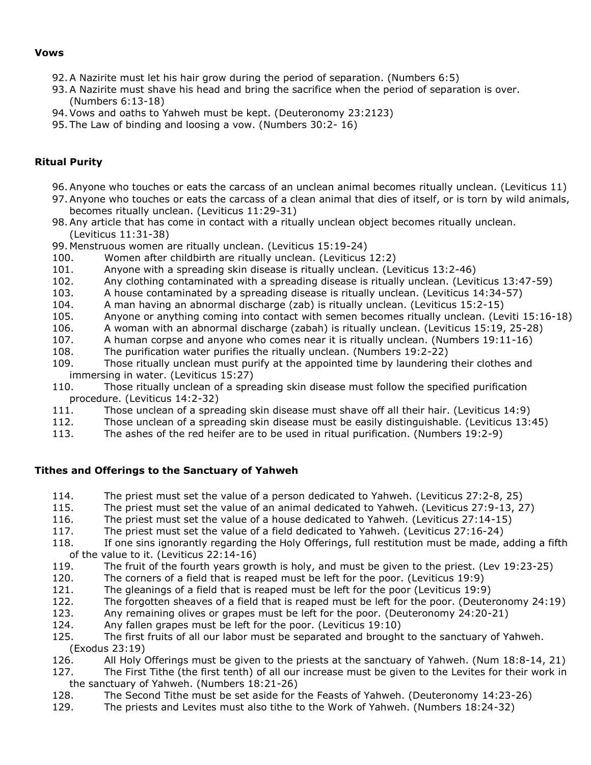#### **Vows**

- 92.A Nazirite must let his hair grow during the period of separation. (Numbers 6:5)
- 93.A Nazirite must shave his head and bring the sacrifice when the period of separation is over. (Numbers 6:13-18)
- 94.Vows and oaths to Yahweh must be kept. (Deuteronomy 23:2123)
- 95. The Law of binding and loosing a vow. (Numbers 30:2- 16)

## **Ritual Purity**

- 96.Anyone who touches or eats the carcass of an unclean animal becomes ritually unclean. (Leviticus 11)
- 97.Anyone who touches or eats the carcass of a clean animal that dies of itself, or is torn by wild animals, becomes ritually unclean. (Leviticus 11:29-31)
- 98.Any article that has come in contact with a ritually unclean object becomes ritually unclean. (Leviticus 11:31-38)
- 99. Menstruous women are ritually unclean. (Leviticus 15:19-24)
- 100. Women after childbirth are ritually unclean. (Leviticus 12:2)
- 101. Anyone with a spreading skin disease is ritually unclean. (Leviticus 13:2-46)
- 102. Any clothing contaminated with a spreading disease is ritually unclean. (Leviticus 13:47-59)
- 103. A house contaminated by a spreading disease is ritually unclean. (Leviticus 14:34-57)
- 104. A man having an abnormal discharge (zab) is ritually unclean. (Leviticus 15:2-15)
- 105. Anyone or anything coming into contact with semen becomes ritually unclean. (Leviti 15:16-18)
- 106. A woman with an abnormal discharge (zabah) is ritually unclean. (Leviticus 15:19, 25-28)
- 107. A human corpse and anyone who comes near it is ritually unclean. (Numbers 19:11-16)
- 108. The purification water purifies the ritually unclean. (Numbers 19:2-22)
- 109. Those ritually unclean must purify at the appointed time by laundering their clothes and immersing in water. (Leviticus 15:27)
- 110. Those ritually unclean of a spreading skin disease must follow the specified purification procedure. (Leviticus 14:2-32)
- 111. Those unclean of a spreading skin disease must shave off all their hair. (Leviticus 14:9)
- 112. Those unclean of a spreading skin disease must be easily distinguishable. (Leviticus 13:45)
- 113. The ashes of the red heifer are to be used in ritual purification. (Numbers 19:2-9)

## **Tithes and Offerings to the Sanctuary of Yahweh**

- 114. The priest must set the value of a person dedicated to Yahweh. (Leviticus 27:2-8, 25)
- 115. The priest must set the value of an animal dedicated to Yahweh. (Leviticus 27:9-13, 27)
- 116. The priest must set the value of a house dedicated to Yahweh. (Leviticus 27:14-15)
- 117. The priest must set the value of a field dedicated to Yahweh. (Leviticus 27:16-24)
- 118. If one sins ignorantly regarding the Holy Offerings, full restitution must be made, adding a fifth of the value to it. (Leviticus 22:14-16)
- 119. The fruit of the fourth years growth is holy, and must be given to the priest. (Lev 19:23-25)
- 120. The corners of a field that is reaped must be left for the poor. (Leviticus 19:9)
- 121. The gleanings of a field that is reaped must be left for the poor (Leviticus 19:9)
- 122. The forgotten sheaves of a field that is reaped must be left for the poor. (Deuteronomy 24:19)
- 123. Any remaining olives or grapes must be left for the poor. (Deuteronomy 24:20-21)
- 124. Any fallen grapes must be left for the poor. (Leviticus 19:10)
- 125. The first fruits of all our labor must be separated and brought to the sanctuary of Yahweh. (Exodus 23:19)
- 126. All Holy Offerings must be given to the priests at the sanctuary of Yahweh. (Num 18:8-14, 21)
- 127. The First Tithe (the first tenth) of all our increase must be given to the Levites for their work in the sanctuary of Yahweh. (Numbers 18:21-26)
- 128. The Second Tithe must be set aside for the Feasts of Yahweh. (Deuteronomy 14:23-26)
- 129. The priests and Levites must also tithe to the Work of Yahweh. (Numbers 18:24-32)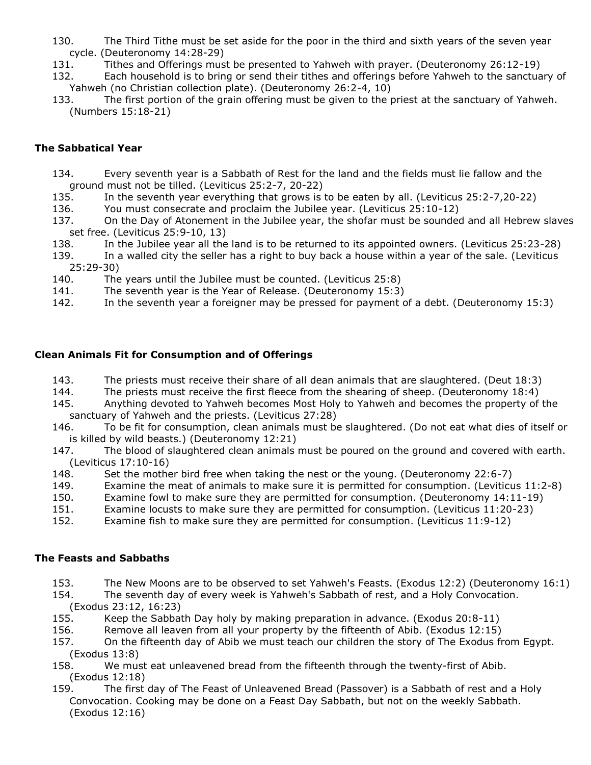- 130. The Third Tithe must be set aside for the poor in the third and sixth years of the seven year cycle. (Deuteronomy 14:28-29)
- 131. Tithes and Offerings must be presented to Yahweh with prayer. (Deuteronomy 26:12-19)
- 132. Each household is to bring or send their tithes and offerings before Yahweh to the sanctuary of Yahweh (no Christian collection plate). (Deuteronomy 26:2-4, 10)
- 133. The first portion of the grain offering must be given to the priest at the sanctuary of Yahweh. (Numbers 15:18-21)

#### **The Sabbatical Year**

- 134. Every seventh year is a Sabbath of Rest for the land and the fields must lie fallow and the ground must not be tilled. (Leviticus 25:2-7, 20-22)
- 135. In the seventh year everything that grows is to be eaten by all. (Leviticus 25:2-7,20-22)
- 136. You must consecrate and proclaim the Jubilee year. (Leviticus 25:10-12)
- 137. On the Day of Atonement in the Jubilee year, the shofar must be sounded and all Hebrew slaves set free. (Leviticus 25:9-10, 13)
- 138. In the Jubilee year all the land is to be returned to its appointed owners. (Leviticus 25:23-28)
- 139. In a walled city the seller has a right to buy back a house within a year of the sale. (Leviticus 25:29-30)
- 140. The years until the Jubilee must be counted. (Leviticus 25:8)
- 141. The seventh year is the Year of Release. (Deuteronomy 15:3)
- 142. In the seventh year a foreigner may be pressed for payment of a debt. (Deuteronomy 15:3)

## **Clean Animals Fit for Consumption and of Offerings**

- 143. The priests must receive their share of all dean animals that are slaughtered. (Deut 18:3)
- 144. The priests must receive the first fleece from the shearing of sheep. (Deuteronomy 18:4)
- 145. Anything devoted to Yahweh becomes Most Holy to Yahweh and becomes the property of the sanctuary of Yahweh and the priests. (Leviticus 27:28)
- 146. To be fit for consumption, clean animals must be slaughtered. (Do not eat what dies of itself or is killed by wild beasts.) (Deuteronomy 12:21)
- 147. The blood of slaughtered clean animals must be poured on the ground and covered with earth. (Leviticus 17:10-16)
- 148. Set the mother bird free when taking the nest or the young. (Deuteronomy 22:6-7)
- 149. Examine the meat of animals to make sure it is permitted for consumption. (Leviticus 11:2-8)
- 150. Examine fowl to make sure they are permitted for consumption. (Deuteronomy 14:11-19)
- 151. Examine locusts to make sure they are permitted for consumption. (Leviticus 11:20-23)
- 152. Examine fish to make sure they are permitted for consumption. (Leviticus 11:9-12)

#### **The Feasts and Sabbaths**

- 153. The New Moons are to be observed to set Yahweh's Feasts. (Exodus 12:2) (Deuteronomy 16:1)
- 154. The seventh day of every week is Yahweh's Sabbath of rest, and a Holy Convocation. (Exodus 23:12, 16:23)
- 155. Keep the Sabbath Day holy by making preparation in advance. (Exodus 20:8-11)
- 156. Remove all leaven from all your property by the fifteenth of Abib. (Exodus 12:15)
- 157. On the fifteenth day of Abib we must teach our children the story of The Exodus from Egypt. (Exodus 13:8)
- 158. We must eat unleavened bread from the fifteenth through the twenty-first of Abib. (Exodus 12:18)
- 159. The first day of The Feast of Unleavened Bread (Passover) is a Sabbath of rest and a Holy Convocation. Cooking may be done on a Feast Day Sabbath, but not on the weekly Sabbath. (Exodus 12:16)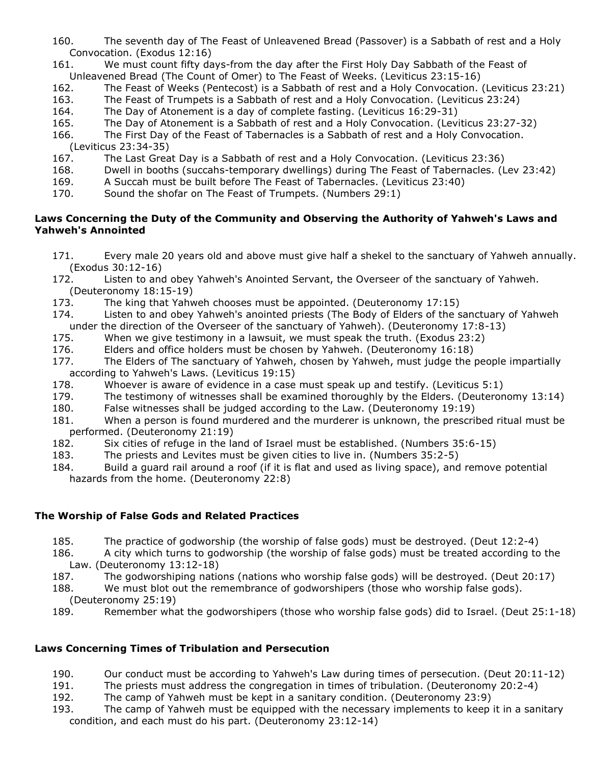- 160. The seventh day of The Feast of Unleavened Bread (Passover) is a Sabbath of rest and a Holy Convocation. (Exodus 12:16)
- 161. We must count fifty days-from the day after the First Holy Day Sabbath of the Feast of Unleavened Bread (The Count of Omer) to The Feast of Weeks. (Leviticus 23:15-16)
- 162. The Feast of Weeks (Pentecost) is a Sabbath of rest and a Holy Convocation. (Leviticus 23:21)
- 163. The Feast of Trumpets is a Sabbath of rest and a Holy Convocation. (Leviticus 23:24)
- 164. The Day of Atonement is a day of complete fasting. (Leviticus 16:29-31)
- 165. The Day of Atonement is a Sabbath of rest and a Holy Convocation. (Leviticus 23:27-32)
- 166. The First Day of the Feast of Tabernacles is a Sabbath of rest and a Holy Convocation. (Leviticus 23:34-35)
- 167. The Last Great Day is a Sabbath of rest and a Holy Convocation. (Leviticus 23:36)
- 168. Dwell in booths (succahs-temporary dwellings) during The Feast of Tabernacles. (Lev 23:42)
- 169. A Succah must be built before The Feast of Tabernacles. (Leviticus 23:40)
- 170. Sound the shofar on The Feast of Trumpets. (Numbers 29:1)

## **Laws Concerning the Duty of the Community and Observing the Authority of Yahweh's Laws and Yahweh's Annointed**

- 171. Every male 20 years old and above must give half a shekel to the sanctuary of Yahweh annually. (Exodus 30:12-16)
- 172. Listen to and obey Yahweh's Anointed Servant, the Overseer of the sanctuary of Yahweh. (Deuteronomy 18:15-19)
- 173. The king that Yahweh chooses must be appointed. (Deuteronomy 17:15)
- 174. Listen to and obey Yahweh's anointed priests (The Body of Elders of the sanctuary of Yahweh under the direction of the Overseer of the sanctuary of Yahweh). (Deuteronomy 17:8-13)
- 175. When we give testimony in a lawsuit, we must speak the truth. (Exodus 23:2)
- 176. Elders and office holders must be chosen by Yahweh. (Deuteronomy 16:18)
- 177. The Elders of The sanctuary of Yahweh, chosen by Yahweh, must judge the people impartially according to Yahweh's Laws. (Leviticus 19:15)
- 178. Whoever is aware of evidence in a case must speak up and testify. (Leviticus 5:1)
- 179. The testimony of witnesses shall be examined thoroughly by the Elders. (Deuteronomy 13:14)
- 180. False witnesses shall be judged according to the Law. (Deuteronomy 19:19)
- 181. When a person is found murdered and the murderer is unknown, the prescribed ritual must be performed. (Deuteronomy 21:19)
- 182. Six cities of refuge in the land of Israel must be established. (Numbers 35:6-15)
- 183. The priests and Levites must be given cities to live in. (Numbers 35:2-5)
- 184. Build a guard rail around a roof (if it is flat and used as living space), and remove potential hazards from the home. (Deuteronomy 22:8)

## **The Worship of False Gods and Related Practices**

- 185. The practice of godworship (the worship of false gods) must be destroyed. (Deut 12:2-4)
- 186. A city which turns to godworship (the worship of false gods) must be treated according to the Law. (Deuteronomy 13:12-18)
- 187. The godworshiping nations (nations who worship false gods) will be destroyed. (Deut 20:17)
- 188. We must blot out the remembrance of godworshipers (those who worship false gods). (Deuteronomy 25:19)
- 189. Remember what the godworshipers (those who worship false gods) did to Israel. (Deut 25:1-18)

## **Laws Concerning Times of Tribulation and Persecution**

- 190. Our conduct must be according to Yahweh's Law during times of persecution. (Deut 20:11-12)
- 191. The priests must address the congregation in times of tribulation. (Deuteronomy 20:2-4)
- 192. The camp of Yahweh must be kept in a sanitary condition. (Deuteronomy 23:9)
- 193. The camp of Yahweh must be equipped with the necessary implements to keep it in a sanitary condition, and each must do his part. (Deuteronomy 23:12-14)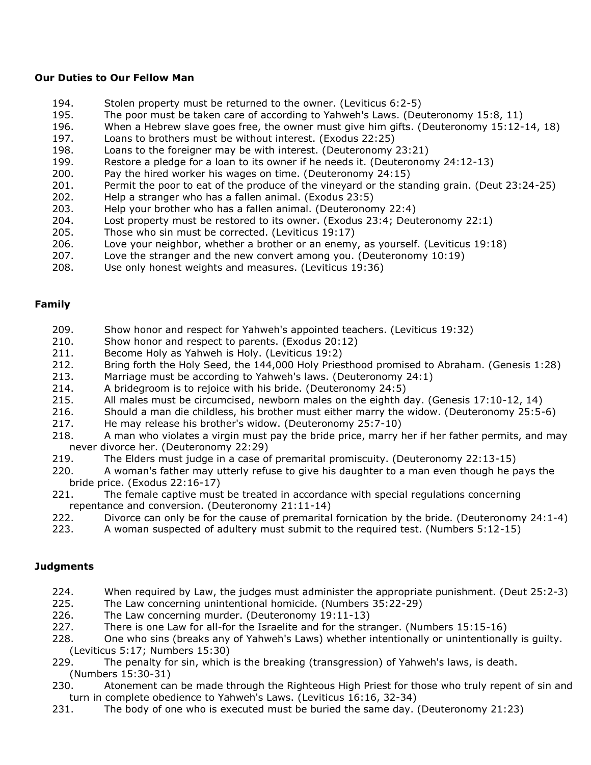## **Our Duties to Our Fellow Man**

- 194. Stolen property must be returned to the owner. (Leviticus 6:2-5)
- 195. The poor must be taken care of according to Yahweh's Laws. (Deuteronomy 15:8, 11)
- 196. When a Hebrew slave goes free, the owner must give him gifts. (Deuteronomy 15:12-14, 18)
- 197. Loans to brothers must be without interest. (Exodus 22:25)
- 198. Loans to the foreigner may be with interest. (Deuteronomy 23:21)
- 199. Restore a pledge for a loan to its owner if he needs it. (Deuteronomy 24:12-13)
- 200. Pay the hired worker his wages on time. (Deuteronomy 24:15)
- 201. Permit the poor to eat of the produce of the vineyard or the standing grain. (Deut 23:24-25)
- 202. Help a stranger who has a fallen animal. (Exodus 23:5)
- 203. Help your brother who has a fallen animal. (Deuteronomy 22:4)
- 204. Lost property must be restored to its owner. (Exodus 23:4; Deuteronomy 22:1)
- 205. Those who sin must be corrected. (Leviticus 19:17)
- 206. Love your neighbor, whether a brother or an enemy, as yourself. (Leviticus 19:18)
- 207. Love the stranger and the new convert among you. (Deuteronomy 10:19)
- 208. Use only honest weights and measures. (Leviticus 19:36)

#### **Family**

- 209. Show honor and respect for Yahweh's appointed teachers. (Leviticus 19:32)
- 210. Show honor and respect to parents. (Exodus 20:12)
- 211. Become Holy as Yahweh is Holy. (Leviticus 19:2)
- 212. Bring forth the Holy Seed, the 144,000 Holy Priesthood promised to Abraham. (Genesis 1:28)
- 213. Marriage must be according to Yahweh's laws. (Deuteronomy 24:1)
- 214. A bridegroom is to rejoice with his bride. (Deuteronomy 24:5)
- 215. All males must be circumcised, newborn males on the eighth day. (Genesis 17:10-12, 14)
- 216. Should a man die childless, his brother must either marry the widow. (Deuteronomy 25:5-6)
- 217. He may release his brother's widow. (Deuteronomy 25:7-10)
- 218. A man who violates a virgin must pay the bride price, marry her if her father permits, and may never divorce her. (Deuteronomy 22:29)
- 219. The Elders must judge in a case of premarital promiscuity. (Deuteronomy 22:13-15)
- 220. A woman's father may utterly refuse to give his daughter to a man even though he pays the bride price. (Exodus 22:16-17)
- 221. The female captive must be treated in accordance with special regulations concerning repentance and conversion. (Deuteronomy 21:11-14)
- 222. Divorce can only be for the cause of premarital fornication by the bride. (Deuteronomy 24:1-4)
- 223. A woman suspected of adultery must submit to the required test. (Numbers 5:12-15)

## **Judgments**

- 224. When required by Law, the judges must administer the appropriate punishment. (Deut 25:2-3)
- 225. The Law concerning unintentional homicide. (Numbers 35:22-29)
- 226. The Law concerning murder. (Deuteronomy 19:11-13)
- 227. There is one Law for all-for the Israelite and for the stranger. (Numbers 15:15-16)
- 228. One who sins (breaks any of Yahweh's Laws) whether intentionally or unintentionally is guilty. (Leviticus 5:17; Numbers 15:30)
- 229. The penalty for sin, which is the breaking (transgression) of Yahweh's laws, is death. (Numbers 15:30-31)
- 230. Atonement can be made through the Righteous High Priest for those who truly repent of sin and turn in complete obedience to Yahweh's Laws. (Leviticus 16:16, 32-34)
- 231. The body of one who is executed must be buried the same day. (Deuteronomy 21:23)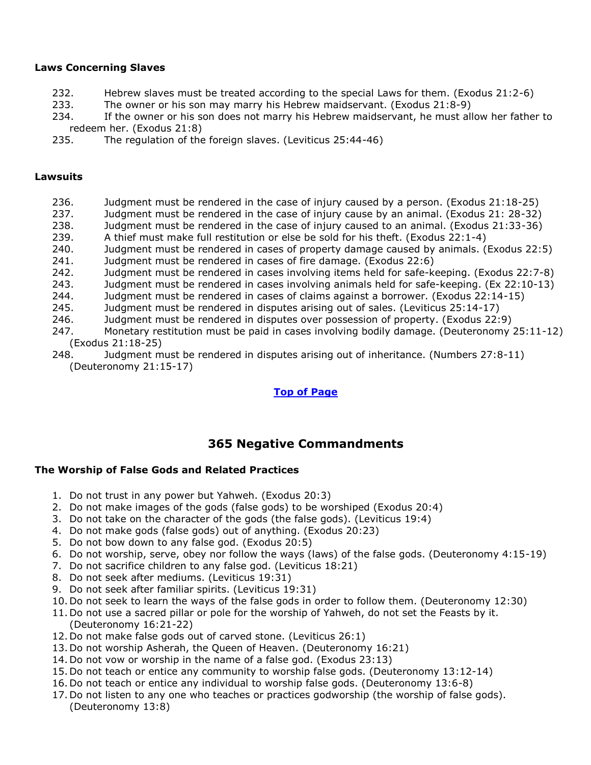#### **Laws Concerning Slaves**

- 232. Hebrew slaves must be treated according to the special Laws for them. (Exodus 21:2-6)
- 233. The owner or his son may marry his Hebrew maidservant. (Exodus 21:8-9)
- 234. If the owner or his son does not marry his Hebrew maidservant, he must allow her father to redeem her. (Exodus 21:8)
- 235. The regulation of the foreign slaves. (Leviticus 25:44-46)

#### **Lawsuits**

- 236. Judgment must be rendered in the case of injury caused by a person. (Exodus 21:18-25) 237. Judgment must be rendered in the case of injury cause by an animal. (Exodus 21: 28-32) 238. Judgment must be rendered in the case of injury caused to an animal. (Exodus 21:33-36) 239. A thief must make full restitution or else be sold for his theft. (Exodus 22:1-4) 240. Judgment must be rendered in cases of property damage caused by animals. (Exodus 22:5) 241. Judgment must be rendered in cases of fire damage. (Exodus 22:6) 242. Judgment must be rendered in cases involving items held for safe-keeping. (Exodus 22:7-8) 243. Judgment must be rendered in cases involving animals held for safe-keeping. (Ex 22:10-13) 244. Judgment must be rendered in cases of claims against a borrower. (Exodus 22:14-15) 245. Judgment must be rendered in disputes arising out of sales. (Leviticus 25:14-17) 246. Judgment must be rendered in disputes over possession of property. (Exodus 22:9) 247. Monetary restitution must be paid in cases involving bodily damage. (Deuteronomy 25:11-12) (Exodus 21:18-25)
- 248. Judgment must be rendered in disputes arising out of inheritance. (Numbers 27:8-11) (Deuteronomy 21:15-17)

## **[Top of Page](https://www.gospeloutreach.net/613laws.html)**

# **365 Negative Commandments**

## **The Worship of False Gods and Related Practices**

- 1. Do not trust in any power but Yahweh. (Exodus 20:3)
- 2. Do not make images of the gods (false gods) to be worshiped (Exodus 20:4)
- 3. Do not take on the character of the gods (the false gods). (Leviticus 19:4)
- 4. Do not make gods (false gods) out of anything. (Exodus 20:23)
- 5. Do not bow down to any false god. (Exodus 20:5)
- 6. Do not worship, serve, obey nor follow the ways (laws) of the false gods. (Deuteronomy 4:15-19)
- 7. Do not sacrifice children to any false god. (Leviticus 18:21)
- 8. Do not seek after mediums. (Leviticus 19:31)
- 9. Do not seek after familiar spirits. (Leviticus 19:31)
- 10. Do not seek to learn the ways of the false gods in order to follow them. (Deuteronomy 12:30)
- 11. Do not use a sacred pillar or pole for the worship of Yahweh, do not set the Feasts by it. (Deuteronomy 16:21-22)
- 12. Do not make false gods out of carved stone. (Leviticus 26:1)
- 13. Do not worship Asherah, the Queen of Heaven. (Deuteronomy 16:21)
- 14. Do not vow or worship in the name of a false god. (Exodus 23:13)
- 15. Do not teach or entice any community to worship false gods. (Deuteronomy 13:12-14)
- 16. Do not teach or entice any individual to worship false gods. (Deuteronomy 13:6-8)
- 17. Do not listen to any one who teaches or practices godworship (the worship of false gods). (Deuteronomy 13:8)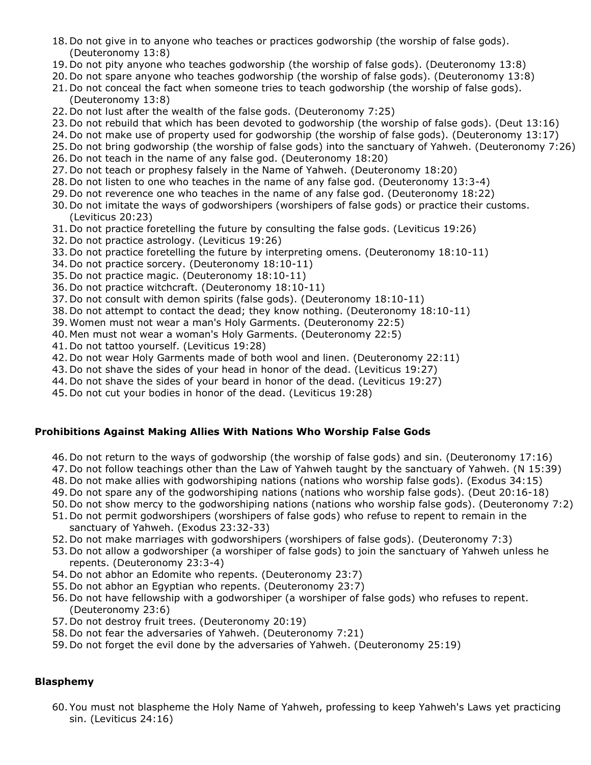- 18. Do not give in to anyone who teaches or practices godworship (the worship of false gods). (Deuteronomy 13:8)
- 19. Do not pity anyone who teaches godworship (the worship of false gods). (Deuteronomy 13:8)
- 20. Do not spare anyone who teaches godworship (the worship of false gods). (Deuteronomy 13:8)
- 21. Do not conceal the fact when someone tries to teach godworship (the worship of false gods). (Deuteronomy 13:8)
- 22. Do not lust after the wealth of the false gods. (Deuteronomy 7:25)
- 23. Do not rebuild that which has been devoted to godworship (the worship of false gods). (Deut 13:16)
- 24. Do not make use of property used for godworship (the worship of false gods). (Deuteronomy 13:17)
- 25. Do not bring godworship (the worship of false gods) into the sanctuary of Yahweh. (Deuteronomy 7:26)
- 26. Do not teach in the name of any false god. (Deuteronomy 18:20)
- 27. Do not teach or prophesy falsely in the Name of Yahweh. (Deuteronomy 18:20)
- 28. Do not listen to one who teaches in the name of any false god. (Deuteronomy 13:3-4)
- 29. Do not reverence one who teaches in the name of any false god. (Deuteronomy 18:22)
- 30. Do not imitate the ways of godworshipers (worshipers of false gods) or practice their customs. (Leviticus 20:23)
- 31. Do not practice foretelling the future by consulting the false gods. (Leviticus 19:26)
- 32. Do not practice astrology. (Leviticus 19:26)
- 33. Do not practice foretelling the future by interpreting omens. (Deuteronomy 18:10-11)
- 34. Do not practice sorcery. (Deuteronomy 18:10-11)
- 35. Do not practice magic. (Deuteronomy 18:10-11)
- 36. Do not practice witchcraft. (Deuteronomy 18:10-11)
- 37. Do not consult with demon spirits (false gods). (Deuteronomy 18:10-11)
- 38. Do not attempt to contact the dead; they know nothing. (Deuteronomy 18:10-11)
- 39. Women must not wear a man's Holy Garments. (Deuteronomy 22:5)
- 40. Men must not wear a woman's Holy Garments. (Deuteronomy 22:5)
- 41. Do not tattoo yourself. (Leviticus 19:28)
- 42. Do not wear Holy Garments made of both wool and linen. (Deuteronomy 22:11)
- 43. Do not shave the sides of your head in honor of the dead. (Leviticus 19:27)
- 44. Do not shave the sides of your beard in honor of the dead. (Leviticus 19:27)
- 45. Do not cut your bodies in honor of the dead. (Leviticus 19:28)

# **Prohibitions Against Making Allies With Nations Who Worship False Gods**

- 46. Do not return to the ways of godworship (the worship of false gods) and sin. (Deuteronomy 17:16)
- 47. Do not follow teachings other than the Law of Yahweh taught by the sanctuary of Yahweh. (N 15:39)
- 48. Do not make allies with godworshiping nations (nations who worship false gods). (Exodus 34:15)
- 49. Do not spare any of the godworshiping nations (nations who worship false gods). (Deut 20:16-18)
- 50. Do not show mercy to the godworshiping nations (nations who worship false gods). (Deuteronomy 7:2)
- 51. Do not permit godworshipers (worshipers of false gods) who refuse to repent to remain in the sanctuary of Yahweh. (Exodus 23:32-33)
- 52. Do not make marriages with godworshipers (worshipers of false gods). (Deuteronomy 7:3)
- 53. Do not allow a godworshiper (a worshiper of false gods) to join the sanctuary of Yahweh unless he repents. (Deuteronomy 23:3-4)
- 54. Do not abhor an Edomite who repents. (Deuteronomy 23:7)
- 55. Do not abhor an Egyptian who repents. (Deuteronomy 23:7)
- 56. Do not have fellowship with a godworshiper (a worshiper of false gods) who refuses to repent. (Deuteronomy 23:6)
- 57. Do not destroy fruit trees. (Deuteronomy 20:19)
- 58. Do not fear the adversaries of Yahweh. (Deuteronomy 7:21)
- 59. Do not forget the evil done by the adversaries of Yahweh. (Deuteronomy 25:19)

# **Blasphemy**

60. You must not blaspheme the Holy Name of Yahweh, professing to keep Yahweh's Laws yet practicing sin. (Leviticus 24:16)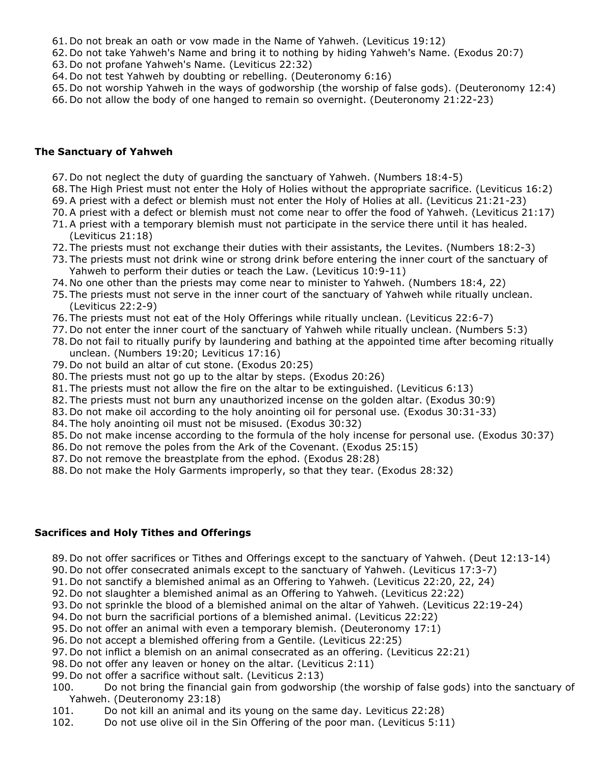- 61. Do not break an oath or vow made in the Name of Yahweh. (Leviticus 19:12)
- 62. Do not take Yahweh's Name and bring it to nothing by hiding Yahweh's Name. (Exodus 20:7)
- 63. Do not profane Yahweh's Name. (Leviticus 22:32)
- 64. Do not test Yahweh by doubting or rebelling. (Deuteronomy 6:16)
- 65. Do not worship Yahweh in the ways of godworship (the worship of false gods). (Deuteronomy 12:4)
- 66. Do not allow the body of one hanged to remain so overnight. (Deuteronomy 21:22-23)

#### **The Sanctuary of Yahweh**

- 67. Do not neglect the duty of guarding the sanctuary of Yahweh. (Numbers 18:4-5)
- 68. The High Priest must not enter the Holy of Holies without the appropriate sacrifice. (Leviticus 16:2)
- 69.A priest with a defect or blemish must not enter the Holy of Holies at all. (Leviticus 21:21-23)
- 70.A priest with a defect or blemish must not come near to offer the food of Yahweh. (Leviticus 21:17)
- 71.A priest with a temporary blemish must not participate in the service there until it has healed. (Leviticus 21:18)
- 72. The priests must not exchange their duties with their assistants, the Levites. (Numbers 18:2-3)
- 73. The priests must not drink wine or strong drink before entering the inner court of the sanctuary of Yahweh to perform their duties or teach the Law. (Leviticus 10:9-11)
- 74. No one other than the priests may come near to minister to Yahweh. (Numbers 18:4, 22)
- 75. The priests must not serve in the inner court of the sanctuary of Yahweh while ritually unclean. (Leviticus 22:2-9)
- 76. The priests must not eat of the Holy Offerings while ritually unclean. (Leviticus 22:6-7)
- 77. Do not enter the inner court of the sanctuary of Yahweh while ritually unclean. (Numbers 5:3)
- 78. Do not fail to ritually purify by laundering and bathing at the appointed time after becoming ritually unclean. (Numbers 19:20; Leviticus 17:16)
- 79. Do not build an altar of cut stone. (Exodus 20:25)
- 80. The priests must not go up to the altar by steps. (Exodus 20:26)
- 81. The priests must not allow the fire on the altar to be extinguished. (Leviticus 6:13)
- 82. The priests must not burn any unauthorized incense on the golden altar. (Exodus 30:9)
- 83. Do not make oil according to the holy anointing oil for personal use. (Exodus 30:31-33)
- 84. The holy anointing oil must not be misused. (Exodus 30:32)
- 85. Do not make incense according to the formula of the holy incense for personal use. (Exodus 30:37)
- 86. Do not remove the poles from the Ark of the Covenant. (Exodus 25:15)
- 87. Do not remove the breastplate from the ephod. (Exodus 28:28)
- 88. Do not make the Holy Garments improperly, so that they tear. (Exodus 28:32)

# **Sacrifices and Holy Tithes and Offerings**

- 89. Do not offer sacrifices or Tithes and Offerings except to the sanctuary of Yahweh. (Deut 12:13-14)
- 90. Do not offer consecrated animals except to the sanctuary of Yahweh. (Leviticus 17:3-7)
- 91. Do not sanctify a blemished animal as an Offering to Yahweh. (Leviticus 22:20, 22, 24)
- 92. Do not slaughter a blemished animal as an Offering to Yahweh. (Leviticus 22:22)
- 93. Do not sprinkle the blood of a blemished animal on the altar of Yahweh. (Leviticus 22:19-24)
- 94. Do not burn the sacrificial portions of a blemished animal. (Leviticus 22:22)
- 95. Do not offer an animal with even a temporary blemish. (Deuteronomy 17:1)
- 96. Do not accept a blemished offering from a Gentile. (Leviticus 22:25)
- 97. Do not inflict a blemish on an animal consecrated as an offering. (Leviticus 22:21)
- 98. Do not offer any leaven or honey on the altar. (Leviticus 2:11)
- 99. Do not offer a sacrifice without salt. (Leviticus 2:13)
- 100. Do not bring the financial gain from godworship (the worship of false gods) into the sanctuary of Yahweh. (Deuteronomy 23:18)
- 101. Do not kill an animal and its young on the same day. Leviticus 22:28)
- 102. Do not use olive oil in the Sin Offering of the poor man. (Leviticus 5:11)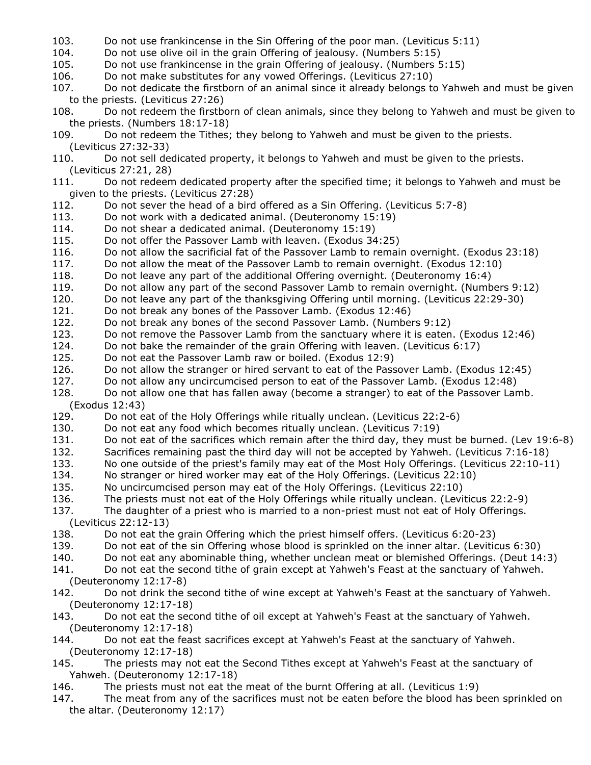- 103. Do not use frankincense in the Sin Offering of the poor man. (Leviticus 5:11)
- 104. Do not use olive oil in the grain Offering of jealousy. (Numbers 5:15)

105. Do not use frankincense in the grain Offering of jealousy. (Numbers 5:15)

- 106. Do not make substitutes for any vowed Offerings. (Leviticus 27:10)
- 107. Do not dedicate the firstborn of an animal since it already belongs to Yahweh and must be given to the priests. (Leviticus 27:26)
- 108. Do not redeem the firstborn of clean animals, since they belong to Yahweh and must be given to the priests. (Numbers 18:17-18)
- 109. Do not redeem the Tithes; they belong to Yahweh and must be given to the priests. (Leviticus 27:32-33)
- 110. Do not sell dedicated property, it belongs to Yahweh and must be given to the priests. (Leviticus 27:21, 28)
- 111. Do not redeem dedicated property after the specified time; it belongs to Yahweh and must be given to the priests. (Leviticus 27:28)
- 112. Do not sever the head of a bird offered as a Sin Offering. (Leviticus 5:7-8)
- 113. Do not work with a dedicated animal. (Deuteronomy 15:19)
- 114. Do not shear a dedicated animal. (Deuteronomy 15:19)
- 115. Do not offer the Passover Lamb with leaven. (Exodus 34:25)
- 116. Do not allow the sacrificial fat of the Passover Lamb to remain overnight. (Exodus 23:18)
- 117. Do not allow the meat of the Passover Lamb to remain overnight. (Exodus 12:10)
- 118. Do not leave any part of the additional Offering overnight. (Deuteronomy 16:4)
- 119. Do not allow any part of the second Passover Lamb to remain overnight. (Numbers 9:12)
- 120. Do not leave any part of the thanksgiving Offering until morning. (Leviticus 22:29-30)
- 121. Do not break any bones of the Passover Lamb. (Exodus 12:46)
- 122. Do not break any bones of the second Passover Lamb. (Numbers 9:12)
- 123. Do not remove the Passover Lamb from the sanctuary where it is eaten. (Exodus 12:46)
- 124. Do not bake the remainder of the grain Offering with leaven. (Leviticus 6:17)
- 125. Do not eat the Passover Lamb raw or boiled. (Exodus 12:9)
- 126. Do not allow the stranger or hired servant to eat of the Passover Lamb. (Exodus 12:45)
- 127. Do not allow any uncircumcised person to eat of the Passover Lamb. (Exodus 12:48)
- 128. Do not allow one that has fallen away (become a stranger) to eat of the Passover Lamb. (Exodus 12:43)
- 129. Do not eat of the Holy Offerings while ritually unclean. (Leviticus 22:2-6)
- 130. Do not eat any food which becomes ritually unclean. (Leviticus 7:19)
- 131. Do not eat of the sacrifices which remain after the third day, they must be burned. (Lev 19:6-8)
- 132. Sacrifices remaining past the third day will not be accepted by Yahweh. (Leviticus 7:16-18)
- 133. No one outside of the priest's family may eat of the Most Holy Offerings. (Leviticus 22:10-11)
- 134. No stranger or hired worker may eat of the Holy Offerings. (Leviticus 22:10)
- 135. No uncircumcised person may eat of the Holy Offerings. (Leviticus 22:10)
- 136. The priests must not eat of the Holy Offerings while ritually unclean. (Leviticus 22:2-9)

137. The daughter of a priest who is married to a non-priest must not eat of Holy Offerings. (Leviticus 22:12-13)

- 138. Do not eat the grain Offering which the priest himself offers. (Leviticus 6:20-23)
- 139. Do not eat of the sin Offering whose blood is sprinkled on the inner altar. (Leviticus 6:30)
- 140. Do not eat any abominable thing, whether unclean meat or blemished Offerings. (Deut 14:3)
- 141. Do not eat the second tithe of grain except at Yahweh's Feast at the sanctuary of Yahweh. (Deuteronomy 12:17-8)
- 142. Do not drink the second tithe of wine except at Yahweh's Feast at the sanctuary of Yahweh. (Deuteronomy 12:17-18)
- 143. Do not eat the second tithe of oil except at Yahweh's Feast at the sanctuary of Yahweh. (Deuteronomy 12:17-18)
- 144. Do not eat the feast sacrifices except at Yahweh's Feast at the sanctuary of Yahweh. (Deuteronomy 12:17-18)
- 145. The priests may not eat the Second Tithes except at Yahweh's Feast at the sanctuary of Yahweh. (Deuteronomy 12:17-18)
- 146. The priests must not eat the meat of the burnt Offering at all. (Leviticus 1:9)
- 147. The meat from any of the sacrifices must not be eaten before the blood has been sprinkled on the altar. (Deuteronomy 12:17)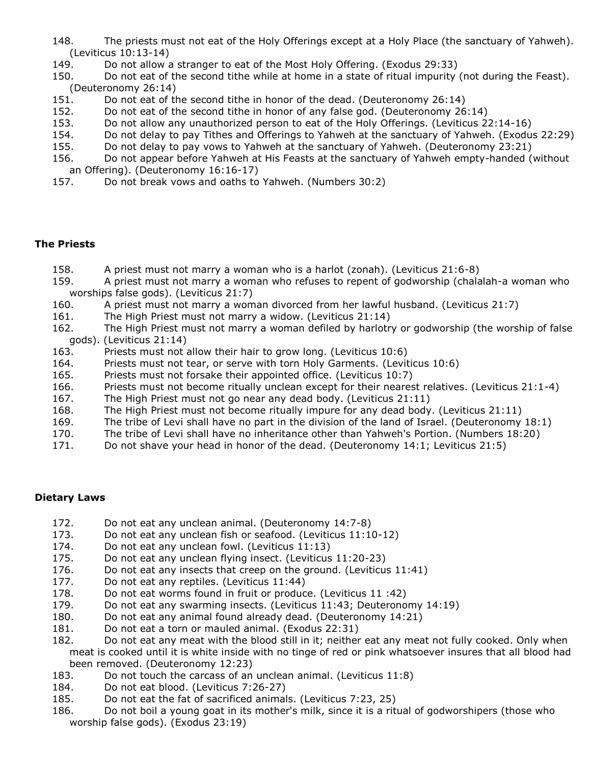- 148. The priests must not eat of the Holy Offerings except at a Holy Place (the sanctuary of Yahweh). (Leviticus 10:13-14)
- 149. Do not allow a stranger to eat of the Most Holy Offering. (Exodus 29:33)
- 150. Do not eat of the second tithe while at home in a state of ritual impurity (not during the Feast). (Deuteronomy 26:14)
- 151. Do not eat of the second tithe in honor of the dead. (Deuteronomy 26:14)
- 152. Do not eat of the second tithe in honor of any false god. (Deuteronomy 26:14)
- 153. Do not allow any unauthorized person to eat of the Holy Offerings. (Leviticus 22:14-16)
- 154. Do not delay to pay Tithes and Offerings to Yahweh at the sanctuary of Yahweh. (Exodus 22:29)
- 155. Do not delay to pay vows to Yahweh at the sanctuary of Yahweh. (Deuteronomy 23:21)
- 156. Do not appear before Yahweh at His Feasts at the sanctuary of Yahweh empty-handed (without an Offering). (Deuteronomy 16:16-17)
- 157. Do not break vows and oaths to Yahweh. (Numbers 30:2)

## **The Priests**

- 158. A priest must not marry a woman who is a harlot (zonah). (Leviticus 21:6-8)
- 159. A priest must not marry a woman who refuses to repent of godworship (chalalah-a woman who worships false gods). (Leviticus 21:7)
- 160. A priest must not marry a woman divorced from her lawful husband. (Leviticus 21:7)
- 161. The High Priest must not marry a widow. (Leviticus 21:14)
- 162. The High Priest must not marry a woman defiled by harlotry or godworship (the worship of false gods). (Leviticus 21:14)
- 163. Priests must not allow their hair to grow long. (Leviticus 10:6)
- 164. Priests must not tear, or serve with torn Holy Garments. (Leviticus 10:6)
- 165. Priests must not forsake their appointed office. (Leviticus 10:7)
- 166. Priests must not become ritually unclean except for their nearest relatives. (Leviticus 21:1-4)
- 167. The High Priest must not go near any dead body. (Leviticus 21:11)
- 168. The High Priest must not become ritually impure for any dead body. (Leviticus 21:11)
- 169. The tribe of Levi shall have no part in the division of the land of Israel. (Deuteronomy 18:1)
- 170. The tribe of Levi shall have no inheritance other than Yahweh's Portion. (Numbers 18:20)
- 171. Do not shave your head in honor of the dead. (Deuteronomy 14:1; Leviticus 21:5)

# **Dietary Laws**

- 172. Do not eat any unclean animal. (Deuteronomy 14:7-8)
- 173. Do not eat any unclean fish or seafood. (Leviticus 11:10-12)
- 174. Do not eat any unclean fowl. (Leviticus 11:13)
- 175. Do not eat any unclean flying insect. (Leviticus 11:20-23)
- 176. Do not eat any insects that creep on the ground. (Leviticus 11:41)
- 177. Do not eat any reptiles. (Leviticus 11:44)
- 178. Do not eat worms found in fruit or produce. (Leviticus 11 :42)
- 179. Do not eat any swarming insects. (Leviticus 11:43; Deuteronomy 14:19)
- 180. Do not eat any animal found already dead. (Deuteronomy 14:21)
- 181. Do not eat a torn or mauled animal. (Exodus 22:31)
- 182. Do not eat any meat with the blood still in it; neither eat any meat not fully cooked. Only when meat is cooked until it is white inside with no tinge of red or pink whatsoever insures that all blood had been removed. (Deuteronomy 12:23)
- 183. Do not touch the carcass of an unclean animal. (Leviticus 11:8)
- 184. Do not eat blood. (Leviticus 7:26-27)
- 185. Do not eat the fat of sacrificed animals. (Leviticus 7:23, 25)
- 186. Do not boil a young goat in its mother's milk, since it is a ritual of godworshipers (those who worship false gods). (Exodus 23:19)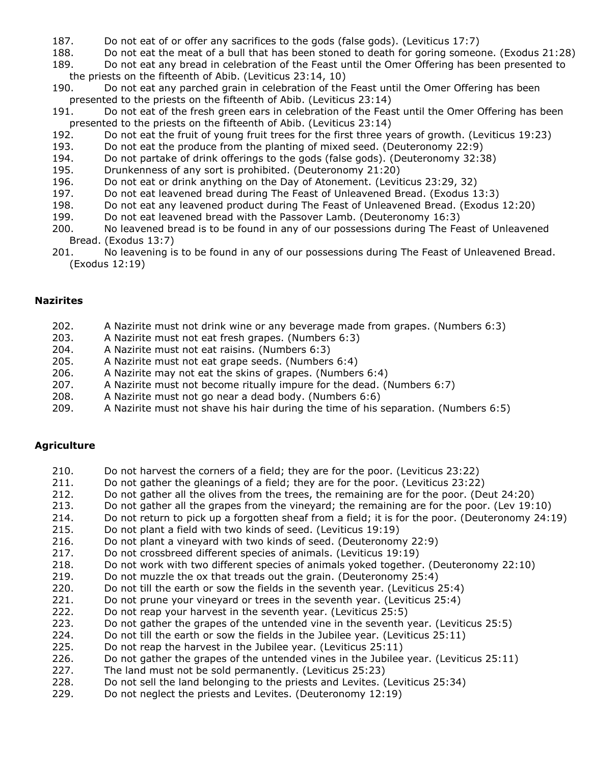- 187. Do not eat of or offer any sacrifices to the gods (false gods). (Leviticus 17:7)
- 188. Do not eat the meat of a bull that has been stoned to death for goring someone. (Exodus 21:28)
- 189. Do not eat any bread in celebration of the Feast until the Omer Offering has been presented to the priests on the fifteenth of Abib. (Leviticus 23:14, 10)
- 190. Do not eat any parched grain in celebration of the Feast until the Omer Offering has been presented to the priests on the fifteenth of Abib. (Leviticus 23:14)
- 191. Do not eat of the fresh green ears in celebration of the Feast until the Omer Offering has been presented to the priests on the fifteenth of Abib. (Leviticus 23:14)
- 192. Do not eat the fruit of young fruit trees for the first three years of growth. (Leviticus 19:23)
- 193. Do not eat the produce from the planting of mixed seed. (Deuteronomy 22:9)
- 194. Do not partake of drink offerings to the gods (false gods). (Deuteronomy 32:38)
- 195. Drunkenness of any sort is prohibited. (Deuteronomy 21:20)
- 196. Do not eat or drink anything on the Day of Atonement. (Leviticus 23:29, 32)
- 197. Do not eat leavened bread during The Feast of Unleavened Bread. (Exodus 13:3)
- 198. Do not eat any leavened product during The Feast of Unleavened Bread. (Exodus 12:20)
- 199. Do not eat leavened bread with the Passover Lamb. (Deuteronomy 16:3)
- 200. No leavened bread is to be found in any of our possessions during The Feast of Unleavened Bread. (Exodus 13:7)
- 201. No leavening is to be found in any of our possessions during The Feast of Unleavened Bread. (Exodus 12:19)

#### **Nazirites**

- 202. A Nazirite must not drink wine or any beverage made from grapes. (Numbers 6:3)
- 203. A Nazirite must not eat fresh grapes. (Numbers 6:3)
- 204. A Nazirite must not eat raisins. (Numbers 6:3)
- 205. A Nazirite must not eat grape seeds. (Numbers 6:4)
- 206. A Nazirite may not eat the skins of grapes. (Numbers 6:4)
- 207. A Nazirite must not become ritually impure for the dead. (Numbers 6:7)
- 208. A Nazirite must not go near a dead body. (Numbers 6:6)
- 209. A Nazirite must not shave his hair during the time of his separation. (Numbers 6:5)

## **Agriculture**

- 210. Do not harvest the corners of a field; they are for the poor. (Leviticus 23:22)
- 211. Do not gather the gleanings of a field; they are for the poor. (Leviticus 23:22)
- 212. Do not gather all the olives from the trees, the remaining are for the poor. (Deut 24:20)
- 213. Do not gather all the grapes from the vineyard; the remaining are for the poor. (Lev 19:10)
- 214. Do not return to pick up a forgotten sheaf from a field; it is for the poor. (Deuteronomy 24:19)
- 215. Do not plant a field with two kinds of seed. (Leviticus 19:19)
- 216. Do not plant a vineyard with two kinds of seed. (Deuteronomy 22:9)
- 217. Do not crossbreed different species of animals. (Leviticus 19:19)
- 218. Do not work with two different species of animals yoked together. (Deuteronomy 22:10)
- 219. Do not muzzle the ox that treads out the grain. (Deuteronomy 25:4)
- 220. Do not till the earth or sow the fields in the seventh year. (Leviticus 25:4)
- 221. Do not prune your vineyard or trees in the seventh year. (Leviticus 25:4)
- 222. Do not reap your harvest in the seventh year. (Leviticus 25:5)
- 223. Do not gather the grapes of the untended vine in the seventh year. (Leviticus 25:5)
- 224. Do not till the earth or sow the fields in the Jubilee year. (Leviticus 25:11)
- 225. Do not reap the harvest in the Jubilee year. (Leviticus 25:11)
- 226. Do not gather the grapes of the untended vines in the Jubilee year. (Leviticus 25:11)
- 227. The land must not be sold permanently. (Leviticus 25:23)
- 228. Do not sell the land belonging to the priests and Levites. (Leviticus 25:34)
- 229. Do not neglect the priests and Levites. (Deuteronomy 12:19)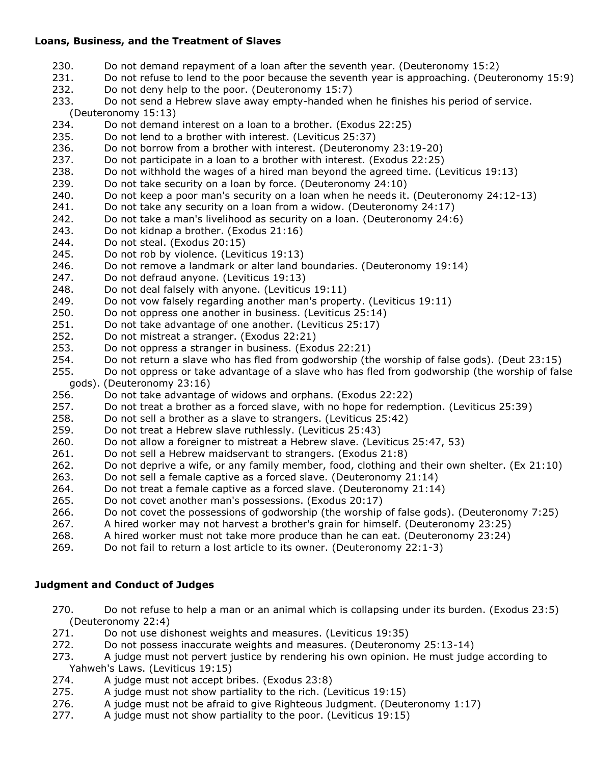## **Loans, Business, and the Treatment of Slaves**

- 230. Do not demand repayment of a loan after the seventh year. (Deuteronomy 15:2)
- 231. Do not refuse to lend to the poor because the seventh year is approaching. (Deuteronomy 15:9)
- 232. Do not deny help to the poor. (Deuteronomy 15:7)
- 233. Do not send a Hebrew slave away empty-handed when he finishes his period of service. (Deuteronomy 15:13)
- 234. Do not demand interest on a loan to a brother. (Exodus 22:25)
- 235. Do not lend to a brother with interest. (Leviticus 25:37)
- 236. Do not borrow from a brother with interest. (Deuteronomy 23:19-20)
- 237. Do not participate in a loan to a brother with interest. (Exodus 22:25)
- 238. Do not withhold the wages of a hired man beyond the agreed time. (Leviticus 19:13)
- 239. Do not take security on a loan by force. (Deuteronomy 24:10)
- 240. Do not keep a poor man's security on a loan when he needs it. (Deuteronomy 24:12-13)
- 241. Do not take any security on a loan from a widow. (Deuteronomy 24:17)
- 242. Do not take a man's livelihood as security on a loan. (Deuteronomy 24:6)
- 243. Do not kidnap a brother. (Exodus 21:16)
- 244. Do not steal. (Exodus 20:15)
- 245. Do not rob by violence. (Leviticus 19:13)
- 246. Do not remove a landmark or alter land boundaries. (Deuteronomy 19:14)
- 247. Do not defraud anyone. (Leviticus 19:13)
- 248. Do not deal falsely with anyone. (Leviticus 19:11)
- 249. Do not vow falsely regarding another man's property. (Leviticus 19:11)
- 250. Do not oppress one another in business. (Leviticus 25:14)
- 251. Do not take advantage of one another. (Leviticus 25:17)
- 252. Do not mistreat a stranger. (Exodus 22:21)
- 253. Do not oppress a stranger in business. (Exodus 22:21)
- 254. Do not return a slave who has fled from godworship (the worship of false gods). (Deut 23:15)
- 255. Do not oppress or take advantage of a slave who has fled from godworship (the worship of false gods). (Deuteronomy 23:16)
- 256. Do not take advantage of widows and orphans. (Exodus 22:22)
- 257. Do not treat a brother as a forced slave, with no hope for redemption. (Leviticus 25:39)
- 258. Do not sell a brother as a slave to strangers. (Leviticus 25:42)
- 259. Do not treat a Hebrew slave ruthlessly. (Leviticus 25:43)
- 260. Do not allow a foreigner to mistreat a Hebrew slave. (Leviticus 25:47, 53)
- 261. Do not sell a Hebrew maidservant to strangers. (Exodus 21:8)
- 262. Do not deprive a wife, or any family member, food, clothing and their own shelter. (Ex 21:10)
- 263. Do not sell a female captive as a forced slave. (Deuteronomy 21:14)
- 264. Do not treat a female captive as a forced slave. (Deuteronomy 21:14)
- 265. Do not covet another man's possessions. (Exodus 20:17)
- 266. Do not covet the possessions of godworship (the worship of false gods). (Deuteronomy 7:25)
- 267. A hired worker may not harvest a brother's grain for himself. (Deuteronomy 23:25)
- 268. A hired worker must not take more produce than he can eat. (Deuteronomy 23:24)
- 269. Do not fail to return a lost article to its owner. (Deuteronomy 22:1-3)

## **Judgment and Conduct of Judges**

- 270. Do not refuse to help a man or an animal which is collapsing under its burden. (Exodus 23:5) (Deuteronomy 22:4)
- 271. Do not use dishonest weights and measures. (Leviticus 19:35)
- 272. Do not possess inaccurate weights and measures. (Deuteronomy 25:13-14)
- 273. A judge must not pervert justice by rendering his own opinion. He must judge according to Yahweh's Laws. (Leviticus 19:15)
- 274. A judge must not accept bribes. (Exodus 23:8)
- 275. A judge must not show partiality to the rich. (Leviticus 19:15)
- 276. A judge must not be afraid to give Righteous Judgment. (Deuteronomy 1:17)
- 277. A judge must not show partiality to the poor. (Leviticus 19:15)
-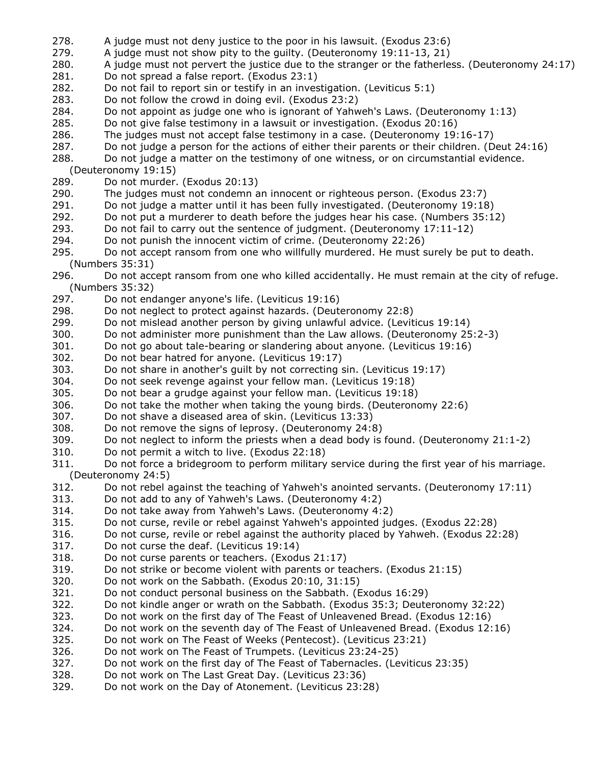- 278. A judge must not deny justice to the poor in his lawsuit. (Exodus 23:6)
- 279. A judge must not show pity to the guilty. (Deuteronomy 19:11-13, 21)
- 280. A judge must not pervert the justice due to the stranger or the fatherless. (Deuteronomy 24:17)
- 281. Do not spread a false report. (Exodus 23:1)
- 282. Do not fail to report sin or testify in an investigation. (Leviticus 5:1)
- 283. Do not follow the crowd in doing evil. (Exodus 23:2)
- 284. Do not appoint as judge one who is ignorant of Yahweh's Laws. (Deuteronomy 1:13)
- 285. Do not give false testimony in a lawsuit or investigation. (Exodus 20:16)
- 286. The judges must not accept false testimony in a case. (Deuteronomy 19:16-17)
- 287. Do not judge a person for the actions of either their parents or their children. (Deut 24:16)
- 288. Do not judge a matter on the testimony of one witness, or on circumstantial evidence.
- (Deuteronomy 19:15)
- 289. Do not murder. (Exodus 20:13)
- 290. The judges must not condemn an innocent or righteous person. (Exodus 23:7)
- 291. Do not judge a matter until it has been fully investigated. (Deuteronomy 19:18)
- 292. Do not put a murderer to death before the judges hear his case. (Numbers 35:12)
- 293. Do not fail to carry out the sentence of judgment. (Deuteronomy 17:11-12)
- 294. Do not punish the innocent victim of crime. (Deuteronomy 22:26)
- 295. Do not accept ransom from one who willfully murdered. He must surely be put to death. (Numbers 35:31)
- 296. Do not accept ransom from one who killed accidentally. He must remain at the city of refuge. (Numbers 35:32)
- 297. Do not endanger anyone's life. (Leviticus 19:16)
- 298. Do not neglect to protect against hazards. (Deuteronomy 22:8)
- 299. Do not mislead another person by giving unlawful advice. (Leviticus 19:14)
- 300. Do not administer more punishment than the Law allows. (Deuteronomy 25:2-3)
- 301. Do not go about tale-bearing or slandering about anyone. (Leviticus 19:16)
- 302. Do not bear hatred for anyone. (Leviticus 19:17)
- 303. Do not share in another's guilt by not correcting sin. (Leviticus 19:17)
- 304. Do not seek revenge against your fellow man. (Leviticus 19:18)
- 305. Do not bear a grudge against your fellow man. (Leviticus 19:18)
- 306. Do not take the mother when taking the young birds. (Deuteronomy 22:6)
- 307. Do not shave a diseased area of skin. (Leviticus 13:33)
- 308. Do not remove the signs of leprosy. (Deuteronomy 24:8)
- 309. Do not neglect to inform the priests when a dead body is found. (Deuteronomy 21:1-2)
- 310. Do not permit a witch to live. (Exodus 22:18)
- 311. Do not force a bridegroom to perform military service during the first year of his marriage. (Deuteronomy 24:5)
- 312. Do not rebel against the teaching of Yahweh's anointed servants. (Deuteronomy 17:11)
- 313. Do not add to any of Yahweh's Laws. (Deuteronomy 4:2)
- 314. Do not take away from Yahweh's Laws. (Deuteronomy 4:2)
- 315. Do not curse, revile or rebel against Yahweh's appointed judges. (Exodus 22:28)
- 316. Do not curse, revile or rebel against the authority placed by Yahweh. (Exodus 22:28)
- 317. Do not curse the deaf. (Leviticus 19:14)
- 318. Do not curse parents or teachers. (Exodus 21:17)
- 319. Do not strike or become violent with parents or teachers. (Exodus 21:15)
- 320. Do not work on the Sabbath. (Exodus 20:10, 31:15)
- 321. Do not conduct personal business on the Sabbath. (Exodus 16:29)
- 322. Do not kindle anger or wrath on the Sabbath. (Exodus 35:3; Deuteronomy 32:22)
- 323. Do not work on the first day of The Feast of Unleavened Bread. (Exodus 12:16)
- 324. Do not work on the seventh day of The Feast of Unleavened Bread. (Exodus 12:16)
- 325. Do not work on The Feast of Weeks (Pentecost). (Leviticus 23:21)
- 326. Do not work on The Feast of Trumpets. (Leviticus 23:24-25)
- 327. Do not work on the first day of The Feast of Tabernacles. (Leviticus 23:35)
- 328. Do not work on The Last Great Day. (Leviticus 23:36)
- 329. Do not work on the Day of Atonement. (Leviticus 23:28)